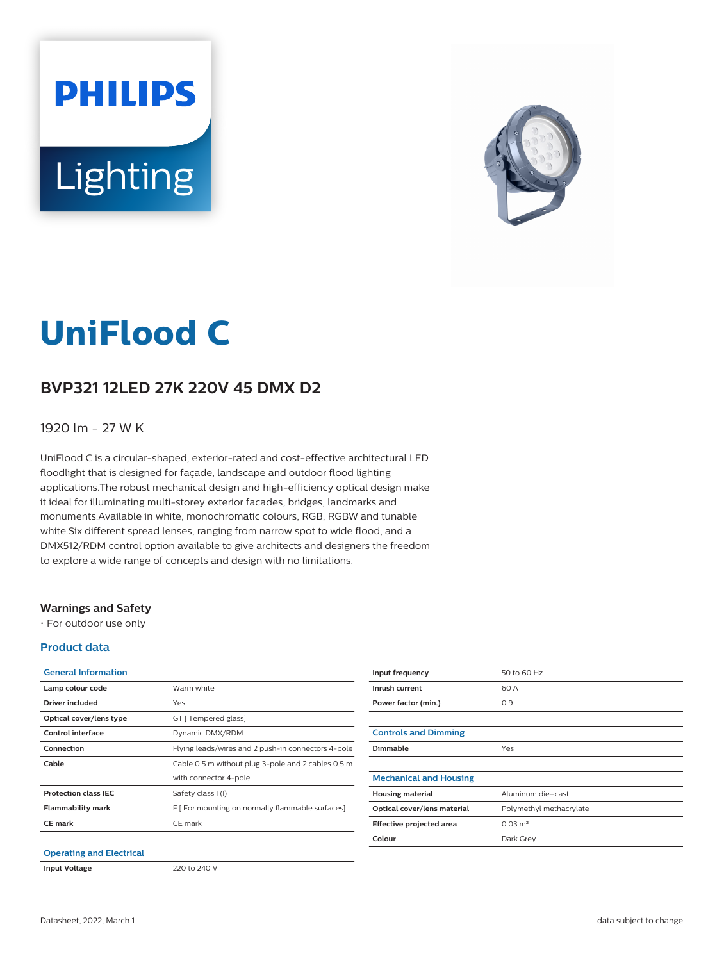# **PHILIPS** Lighting



# **UniFlood C**

# **BVP321 12LED 27K 220V 45 DMX D2**

### 1920 lm - 27 W K

UniFlood C is a circular-shaped, exterior-rated and cost-effective architectural LED floodlight that is designed for façade, landscape and outdoor flood lighting applications.The robust mechanical design and high-efficiency optical design make it ideal for illuminating multi-storey exterior facades, bridges, landmarks and monuments.Available in white, monochromatic colours, RGB, RGBW and tunable white.Six different spread lenses, ranging from narrow spot to wide flood, and a DMX512/RDM control option available to give architects and designers the freedom to explore a wide range of concepts and design with no limitations.

#### **Warnings and Safety**

• For outdoor use only

#### **Product data**

| <b>General Information</b>      |                                                    |
|---------------------------------|----------------------------------------------------|
| Lamp colour code                | Warm white                                         |
| Driver included                 | Yes                                                |
| Optical cover/lens type         | GT [ Tempered glass]                               |
| Control interface               | Dynamic DMX/RDM                                    |
| Connection                      | Flying leads/wires and 2 push-in connectors 4-pole |
| Cable                           | Cable 0.5 m without plug 3-pole and 2 cables 0.5 m |
|                                 | with connector 4-pole                              |
| <b>Protection class IEC</b>     | Safety class I (I)                                 |
| <b>Flammability mark</b>        | F [ For mounting on normally flammable surfaces]   |
| CE mark                         | CE mark                                            |
|                                 |                                                    |
| <b>Operating and Electrical</b> |                                                    |
| <b>Input Voltage</b>            | 220 to 240 V                                       |

| Input frequency               | 50 to 60 Hz             |
|-------------------------------|-------------------------|
| Inrush current                | 60 A                    |
| Power factor (min.)           | 0.9                     |
|                               |                         |
| <b>Controls and Dimming</b>   |                         |
| Dimmable                      | Yes                     |
|                               |                         |
| <b>Mechanical and Housing</b> |                         |
| <b>Housing material</b>       | Aluminum die-cast       |
| Optical cover/lens material   | Polymethyl methacrylate |
| Effective projected area      | $0.03 \text{ m}^2$      |
| Colour                        | Dark Grey               |
|                               |                         |